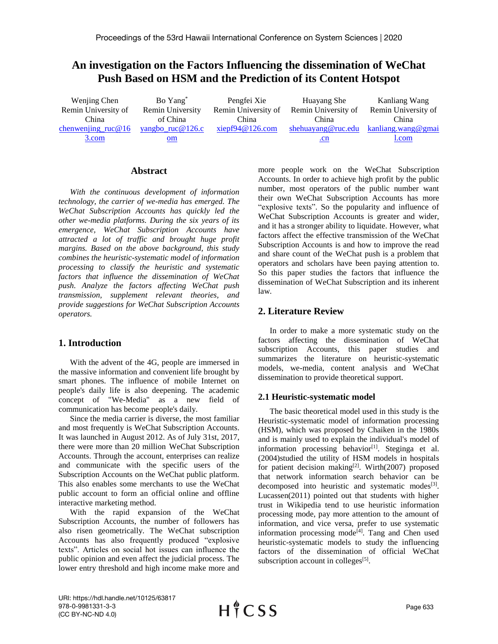# **An investigation on the Factors Influencing the dissemination of WeChat Push Based on HSM and the Prediction of its Content Hotspot**

| Wenjing Chen         | Bo Yang <sup>*</sup>    | Pengfei Xie         | Huayang She         | Kanliang Wang             |
|----------------------|-------------------------|---------------------|---------------------|---------------------------|
| Remin University of  | <b>Remin University</b> | Remin University of | Remin University of | Remin University of       |
| China                | of China                | China               | China               | China                     |
| chenwenjing $ruc@16$ | <u>yangbo ruc@126.c</u> | xiepf94@126.com     | shehuayang@ruc.edu  | <u>kanliang.wang@gmai</u> |
| 3.com                | $om$                    |                     | .cn                 | l.com                     |

## **Abstract**

*With the continuous development of information technology, the carrier of we-media has emerged. The WeChat Subscription Accounts has quickly led the other we-media platforms. During the six years of its emergence, WeChat Subscription Accounts have attracted a lot of traffic and brought huge profit margins. Based on the above background, this study combines the heuristic-systematic model of information processing to classify the heuristic and systematic factors that influence the dissemination of WeChat push. Analyze the factors affecting WeChat push transmission, supplement relevant theories, and provide suggestions for WeChat Subscription Accounts operators.*

## **1. Introduction**

With the advent of the 4G, people are immersed in the massive information and convenient life brought by smart phones. The influence of mobile Internet on people's daily life is also deepening. The academic concept of "We-Media" as a new field of communication has become people's daily.

Since the media carrier is diverse, the most familiar and most frequently is WeChat Subscription Accounts. It was launched in August 2012. As of July 31st, 2017, there were more than 20 million WeChat Subscription Accounts. Through the account, enterprises can realize and communicate with the specific users of the Subscription Accounts on the WeChat public platform. This also enables some merchants to use the WeChat public account to form an official online and offline interactive marketing method.

With the rapid expansion of the WeChat Subscription Accounts, the number of followers has also risen geometrically. The WeChat subscription Accounts has also frequently produced "explosive texts". Articles on social hot issues can influence the public opinion and even affect the judicial process. The lower entry threshold and high income make more and more people work on the WeChat Subscription Accounts. In order to achieve high profit by the public number, most operators of the public number want their own WeChat Subscription Accounts has more "explosive texts". So the popularity and influence of WeChat Subscription Accounts is greater and wider, and it has a stronger ability to liquidate. However, what factors affect the effective transmission of the WeChat Subscription Accounts is and how to improve the read and share count of the WeChat push is a problem that operators and scholars have been paying attention to. So this paper studies the factors that influence the dissemination of WeChat Subscription and its inherent law.

## **2. Literature Review**

In order to make a more systematic study on the factors affecting the dissemination of WeChat subscription Accounts, this paper studies and summarizes the literature on heuristic-systematic models, we-media, content analysis and WeChat dissemination to provide theoretical support.

## **2.1 Heuristic-systematic model**

The basic theoretical model used in this study is the Heuristic-systematic model of information processing (HSM), which was proposed by Chaiken in the 1980s and is mainly used to explain the individual's model of information processing behavior<sup>[1]</sup>. Steginga et al. (2004)studied the utility of HSM models in hospitals for patient decision making<sup>[2]</sup>. Wirth $(2007)$  proposed that network information search behavior can be decomposed into heuristic and systematic modes<sup>[3]</sup>. Lucassen(2011) pointed out that students with higher trust in Wikipedia tend to use heuristic information processing mode, pay more attention to the amount of information, and vice versa, prefer to use systematic information processing mode $^{[4]}$ . Tang and Chen used heuristic-systematic models to study the influencing factors of the dissemination of official WeChat subscription account in colleges $[5]$ .

URI: https://hdl.handle.net/10125/63817 978-0-9981331-3-3 (CC BY-NC-ND 4.0)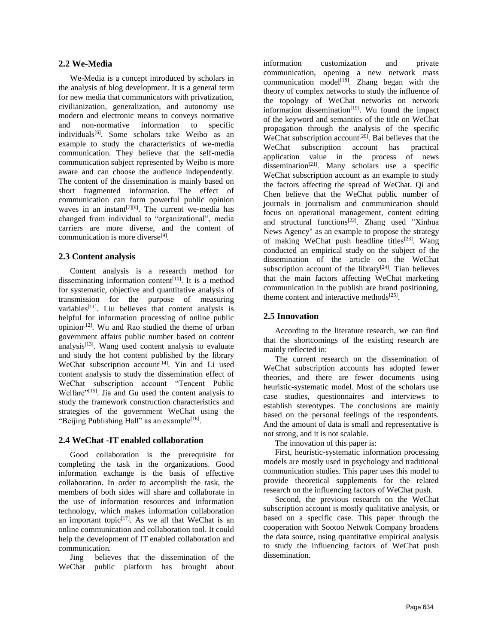### **2.2 We-Media**

We-Media is a concept introduced by scholars in the analysis of blog development. It is a general term for new media that communicators with privatization, civilianization, generalization, and autonomy use modern and electronic means to conveys normative and non-normative information to specific individuals<sup>[6]</sup>. Some scholars take Weibo as an example to study the characteristics of we-media communication. They believe that the self-media communication subject represented by Weibo is more aware and can choose the audience independently. The content of the dissemination is mainly based on short fragmented information. The effect of communication can form powerful public opinion waves in an instant<sup>[7][8]</sup>. The current we-media has changed from individual to "organizational", media carriers are more diverse, and the content of communication is more diverse<sup>[9]</sup>.

### **2.3 Content analysis**

Content analysis is a research method for disseminating information content<sup>[10]</sup>. It is a method for systematic, objective and quantitative analysis of transmission for the purpose of measuring variables<sup>[11]</sup>. Liu believes that content analysis is helpful for information processing of online public opinion[12]. Wu and Rao studied the theme of urban government affairs public number based on content analysis $[13]$ . Wang used content analysis to evaluate and study the hot content published by the library WeChat subscription account<sup>[14]</sup>. Yin and Li used content analysis to study the dissemination effect of WeChat subscription account "Tencent Public Welfare"<sup>[15]</sup>. Jia and Gu used the content analysis to study the framework construction characteristics and strategies of the government WeChat using the "Beijing Publishing Hall" as an example<sup>[16]</sup>.

#### **2.4 WeChat -IT enabled collaboration**

Good collaboration is the prerequisite for completing the task in the organizations. Good information exchange is the basis of effective collaboration. In order to accomplish the task, the members of both sides will share and collaborate in the use of information resources and information technology, which makes information collaboration an important topic $[17]$ . As we all that WeChat is an online communication and collaboration tool. It could help the development of IT enabled collaboration and communication.

Jing believes that the dissemination of the WeChat public platform has brought about

information customization and private communication, opening a new network mass communication model<sup>[18]</sup>. Zhang began with the theory of complex networks to study the influence of the topology of WeChat networks on network information dissemination $[19]$ . Wu found the impact of the keyword and semantics of the title on WeChat propagation through the analysis of the specific WeChat subscription account<sup>[20]</sup>. Bai believes that the WeChat subscription account has practical application value in the process of news dissemination<sup>[21]</sup>. Many scholars use a specific WeChat subscription account as an example to study the factors affecting the spread of WeChat. Qi and Chen believe that the WeChat public number of journals in journalism and communication should focus on operational management, content editing and structural functions<sup>[22]</sup>. Zhang used "Xinhua News Agency" as an example to propose the strategy of making WeChat push headline titles<sup>[23]</sup>. Wang conducted an empirical study on the subject of the dissemination of the article on the WeChat subscription account of the library<sup>[24]</sup>. Tian believes that the main factors affecting WeChat marketing communication in the publish are brand positioning, theme content and interactive methods $[25]$ .

## **2.5 Innovation**

According to the literature research, we can find that the shortcomings of the existing research are mainly reflected in:

The current research on the dissemination of WeChat subscription accounts has adopted fewer theories, and there are fewer documents using heuristic-systematic model. Most of the scholars use case studies, questionnaires and interviews to establish stereotypes. The conclusions are mainly based on the personal feelings of the respondents. And the amount of data is small and representative is not strong, and it is not scalable.

The innovation of this paper is:

First, heuristic-systematic information processing models are mostly used in psychology and traditional communication studies. This paper uses this model to provide theoretical supplements for the related research on the influencing factors of WeChat push.

Second, the previous research on the WeChat subscription account is mostly qualitative analysis, or based on a specific case. This paper through the cooperation with Sootoo Netwok Company broadens the data source, using quantitative empirical analysis to study the influencing factors of WeChat push dissemination.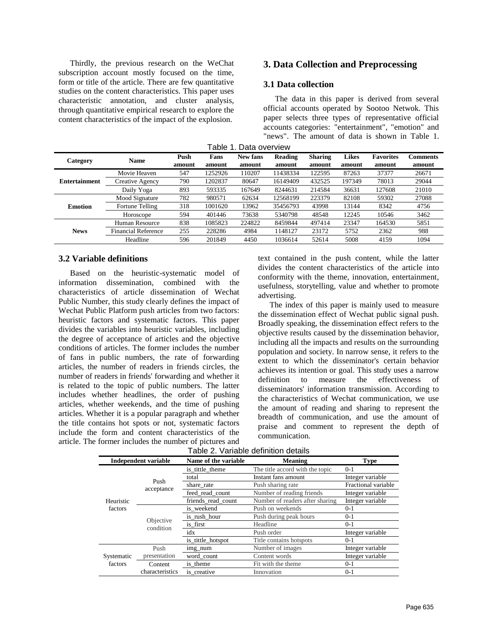Thirdly, the previous research on the WeChat subscription account mostly focused on the time, form or title of the article. There are few quantitative studies on the content characteristics. This paper uses characteristic annotation, and cluster analysis, through quantitative empirical research to explore the content characteristics of the impact of the explosion.

## **3. Data Collection and Preprocessing**

## **3.1 Data collection**

The data in this paper is derived from several official accounts operated by Sootoo Netwok. This paper selects three types of representative official accounts categories: "entertainment", "emotion" and "news". The amount of data is shown in Table 1.

| Data overview<br>Table 1 |                            |        |         |          |          |                |              |                  |          |
|--------------------------|----------------------------|--------|---------|----------|----------|----------------|--------------|------------------|----------|
| Category                 | <b>Name</b>                | Push   | Fans    | New fans | Reading  | <b>Sharing</b> | <b>Likes</b> | <b>Favorites</b> | Comments |
|                          |                            | amount | amount  | amount   | amount   | amount         | amount       | amount           | amount   |
|                          | Movie Heaven               | 547    | 1252926 | 110207   | 11438334 | 122595         | 87263        | 37377            | 26671    |
| <b>Entertainment</b>     | Creative Agency            | 790    | 1202837 | 80647    | 16149409 | 432525         | 197349       | 78013            | 29044    |
|                          | Daily Yoga                 | 893    | 593335  | 167649   | 8244631  | 214584         | 36631        | 127608           | 21010    |
| <b>Emotion</b>           | Mood Signature             | 782    | 980571  | 62634    | 12568199 | 223379         | 82108        | 59302            | 27088    |
|                          | Fortune Telling            | 318    | 1001620 | 13962    | 35456793 | 43998          | 13144        | 8342             | 4756     |
|                          | Horoscope                  | 594    | 401446  | 73638    | 5340798  | 48548          | 12245        | 10546            | 3462     |
|                          | Human Resource             | 838    | 1085823 | 224822   | 8459844  | 497414         | 23347        | 164530           | 5851     |
| <b>News</b>              | <b>Financial Reference</b> | 255    | 228286  | 4984     | 1148127  | 23172          | 5752         | 2362             | 988      |
|                          | Headline                   | 596    | 201849  | 4450     | 1036614  | 52614          | 5008         | 4159             | 1094     |

#### **3.2 Variable definitions**

Based on the heuristic-systematic model of information dissemination, combined with the characteristics of article dissemination of Wechat Public Number, this study clearly defines the impact of Wechat Public Platform push articles from two factors: heuristic factors and systematic factors. This paper divides the variables into heuristic variables, including the degree of acceptance of articles and the objective conditions of articles. The former includes the number of fans in public numbers, the rate of forwarding articles, the number of readers in friends circles, the number of readers in friends' forwarding and whether it is related to the topic of public numbers. The latter includes whether headlines, the order of pushing articles, whether weekends, and the time of pushing articles. Whether it is a popular paragraph and whether the title contains hot spots or not, systematic factors include the form and content characteristics of the article. The former includes the number of pictures and

text contained in the push content, while the latter divides the content characteristics of the article into conformity with the theme, innovation, entertainment, usefulness, storytelling, value and whether to promote advertising.

The index of this paper is mainly used to measure the dissemination effect of Wechat public signal push. Broadly speaking, the dissemination effect refers to the objective results caused by the dissemination behavior, including all the impacts and results on the surrounding population and society. In narrow sense, it refers to the extent to which the disseminator's certain behavior achieves its intention or goal. This study uses a narrow definition to measure the effectiveness of disseminators' information transmission. According to the characteristics of Wechat communication, we use the amount of reading and sharing to represent the breadth of communication, and use the amount of praise and comment to represent the depth of communication.

| Table 2. Variable definition details |  |  |  |  |
|--------------------------------------|--|--|--|--|
|--------------------------------------|--|--|--|--|

|            | Independent variable | Name of the variable<br><b>Meaning</b> |                                 | <b>Type</b>         |
|------------|----------------------|----------------------------------------|---------------------------------|---------------------|
|            |                      | is_tittle_theme                        | The title accord with the topic | $0 - 1$             |
|            | Push                 | total                                  | Instant fans amount             | Integer variable    |
|            | acceptance           | share rate                             | Push sharing rate               | Fractional variable |
|            |                      | feed_read_count                        | Number of reading friends       | Integer variable    |
| Heuristic  |                      | friends read count                     | Number of readers after sharing | Integer variable    |
| factors    |                      | is_weekend                             | Push on weekends                | $0 - 1$             |
|            | Objective            | is rush hour                           | Push during peak hours          | $0 - 1$             |
|            | condition            | is first                               | Headline                        | $0-1$               |
|            |                      | idx                                    | Push order                      | Integer variable    |
|            |                      | is_tittle_hotspot                      | Title contains hotspots         | $0 - 1$             |
|            | Push                 | img_num                                | Number of images                | Integer variable    |
| Systematic | presentation         | word count                             | Content words                   | Integer variable    |
| factors    | Content              | is theme                               | Fit with the theme              | $0 - 1$             |
|            | characteristics      | is creative                            | Innovation                      | $0-1$               |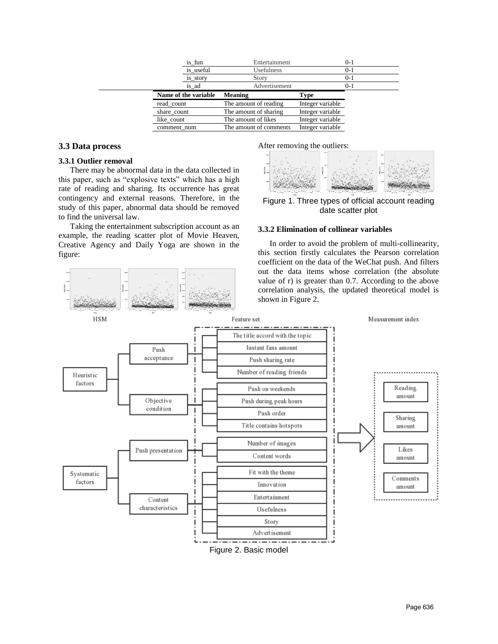|             | is_fun               | Entertainment          |                  | $0 - 1$ |
|-------------|----------------------|------------------------|------------------|---------|
|             | is_useful            | <b>Usefulness</b>      |                  | $0 - 1$ |
|             | is_story             | Story                  |                  | $0 - 1$ |
|             | is ad                | Advertisement          |                  | 0-1     |
|             | Name of the variable | <b>Meaning</b>         | Type             |         |
| read count  |                      | The amount of reading  | Integer variable |         |
| share count |                      | The amount of sharing  | Integer variable |         |
| like count  |                      | The amount of likes    | Integer variable |         |
| comment num |                      | The amount of comments | Integer variable |         |
|             |                      |                        |                  |         |

#### **3.3 Data process**

#### **3.3.1 Outlier removal**

There may be abnormal data in the data collected in this paper, such as "explosive texts" which has a high rate of reading and sharing. Its occurrence has great contingency and external reasons. Therefore, in the study of this paper, abnormal data should be removed to find the universal law.

Taking the entertainment subscription account as an example, the reading scatter plot of Movie Heaven, Creative Agency and Daily Yoga are shown in the figure:

After removing the outliers:



Figure 1. Three types of official account reading date scatter plot

#### **3.3.2 Elimination of collinear variables**

In order to avoid the problem of multi-collinearity, this section firstly calculates the Pearson correlation coefficient on the data of the WeChat push. And filters out the data items whose correlation (the absolute value of r) is greater than 0.7. According to the above correlation analysis, the updated theoretical model is shown in Figure 2.

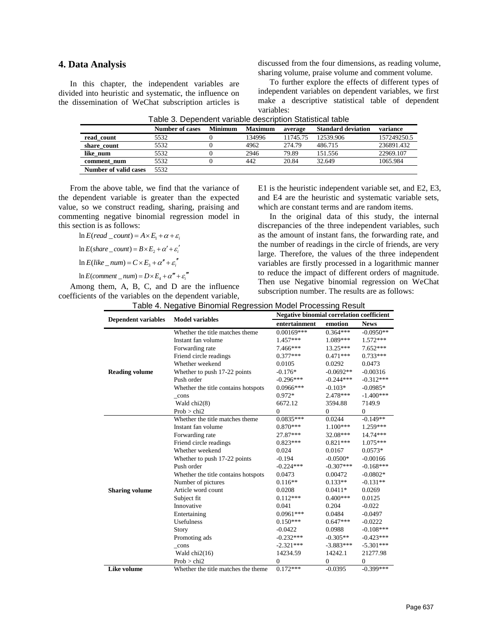#### **4. Data Analysis**

In this chapter, the independent variables are divided into heuristic and systematic, the influence on the dissemination of WeChat subscription articles is discussed from the four dimensions, as reading volume, sharing volume, praise volume and comment volume.

To further explore the effects of different types of independent variables on dependent variables, we first make a descriptive statistical table of dependent variables:

|                       | <b>Number of cases</b> | <b>Minimum</b> | <b>Maximum</b> | average  | <b>Standard deviation</b> | variance    |
|-----------------------|------------------------|----------------|----------------|----------|---------------------------|-------------|
| read count            | 5532                   |                | 134996         | 11745.75 | 12539.906                 | 157249250.5 |
| share count           | 5532                   |                | 4962           | 274.79   | 486.715                   | 236891.432  |
| like num              | 5532                   |                | 2946           | 79.89    | 151.556                   | 22969.107   |
| comment num           | 5532                   |                | 442            | 20.84    | 32.649                    | 1065.984    |
| Number of valid cases | 5532                   |                |                |          |                           |             |

| Table 3. Dependent variable description Statistical table |  |
|-----------------------------------------------------------|--|
|-----------------------------------------------------------|--|

From the above table, we find that the variance of the dependent variable is greater than the expected value, so we construct reading, sharing, praising and commenting negative binomial regression model in this section is as follows:

 $\ln E(\text{read } \_\text{count}) = A \times E_1 + \alpha + \varepsilon$ 

 $\ln E(\text{share\_count}) = B \times E_2 + \alpha' + \varepsilon'_i$ 

 $\ln E(like\_num) = C \times E_i + \alpha'' + \varepsilon''$ 

 $\ln E$ (*comment* \_ *num*) =  $D \times E_4 + \alpha''' + \varepsilon'''$ 

Among them, A, B, C, and D are the influence coefficients of the variables on the dependent variable,

E1 is the heuristic independent variable set, and E2, E3, and E4 are the heuristic and systematic variable sets, which are constant terms and are random items.

In the original data of this study, the internal discrepancies of the three independent variables, such as the amount of instant fans, the forwarding rate, and the number of readings in the circle of friends, are very large. Therefore, the values of the three independent variables are firstly processed in a logarithmic manner to reduce the impact of different orders of magnitude. Then use Negative binomial regression on WeChat subscription number. The results are as follows:

| Table 4. Negative Binomial Regression Model Processing Result |  |  |  |
|---------------------------------------------------------------|--|--|--|
|                                                               |  |  |  |

|                            | <b>Model variables</b>              | <b>Negative binomial correlation coefficient</b> |             |             |
|----------------------------|-------------------------------------|--------------------------------------------------|-------------|-------------|
| <b>Dependent variables</b> |                                     | entertainment                                    | emotion     | <b>News</b> |
|                            | Whether the title matches theme     | $0.00169***$                                     | $0.364***$  | $-0.0950**$ |
|                            | Instant fan volume                  | $1.457***$                                       | 1.089***    | $1.572***$  |
|                            | Forwarding rate                     | 7.466***                                         | 13.25***    | $7.652***$  |
|                            | Friend circle readings              | $0.377***$                                       | $0.471***$  | $0.733***$  |
|                            | Whether weekend                     | 0.0105                                           | 0.0292      | 0.0473      |
| <b>Reading volume</b>      | Whether to push 17-22 points        | $-0.176*$                                        | $-0.0692**$ | $-0.00316$  |
|                            | Push order                          | $-0.296***$                                      | $-0.244***$ | $-0.312***$ |
|                            | Whether the title contains hotspots | $0.0966***$                                      | $-0.103*$   | $-0.0985*$  |
|                            | cons                                | $0.972*$                                         | 2.478***    | $-1.400***$ |
|                            | Wald chi2(8)                        | 6672.12                                          | 3594.88     | 7149.9      |
|                            | Prob > chi2                         | $\theta$                                         | $\Omega$    | $\Omega$    |
|                            | Whether the title matches theme     | $0.0835***$                                      | 0.0244      | $-0.149**$  |
|                            | Instant fan volume                  | $0.870***$                                       | $1.100***$  | 1.259***    |
|                            | Forwarding rate                     | 27.87***                                         | 32.08***    | 14.74***    |
|                            | Friend circle readings              | $0.823***$                                       | $0.821***$  | $1.075***$  |
|                            | Whether weekend                     | 0.024                                            | 0.0167      | $0.0573*$   |
|                            | Whether to push 17-22 points        | $-0.194$                                         | $-0.0500*$  | $-0.00166$  |
|                            | Push order                          | $-0.224***$                                      | $-0.307***$ | $-0.168***$ |
|                            | Whether the title contains hotspots | 0.0473                                           | 0.00472     | $-0.0802*$  |
|                            | Number of pictures                  | $0.116**$                                        | $0.133**$   | $-0.131**$  |
| <b>Sharing volume</b>      | Article word count                  | 0.0208                                           | $0.0411*$   | 0.0269      |
|                            | Subject fit                         | $0.112***$                                       | $0.400***$  | 0.0125      |
|                            | Innovative                          | 0.041                                            | 0.204       | $-0.022$    |
|                            | Entertaining                        | $0.0961***$                                      | 0.0484      | $-0.0497$   |
|                            | <b>Usefulness</b>                   | $0.150***$                                       | $0.647***$  | $-0.0222$   |
|                            | <b>Story</b>                        | $-0.0422$                                        | 0.0988      | $-0.108***$ |
|                            | Promoting ads                       | $-0.232***$                                      | $-0.305**$  | $-0.423***$ |
|                            | cons                                | $-2.321***$                                      | $-3.883***$ | $-5.301***$ |
|                            | Wald $chi2(16)$                     | 14234.59                                         | 14242.1     | 21277.98    |
|                            | Prob > chi2                         | $\Omega$                                         | $\Omega$    | $\Omega$    |
| Like volume                | Whether the title matches the theme | $0.172***$                                       | $-0.0395$   | $-0.399***$ |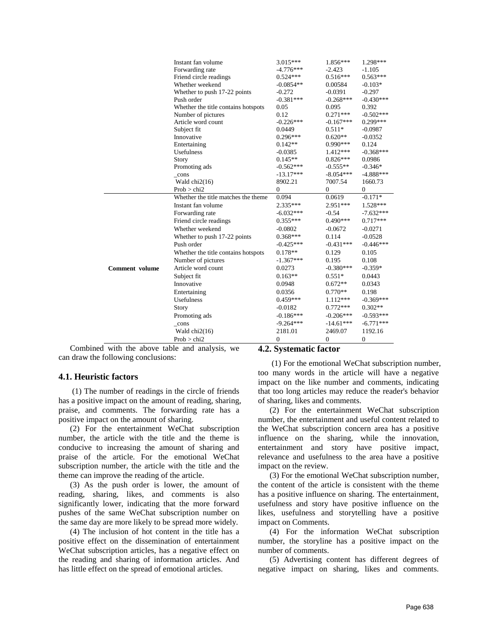|                | Instant fan volume                  | 3.015***       | 1.856***         | 1.298***         |
|----------------|-------------------------------------|----------------|------------------|------------------|
|                | Forwarding rate                     | $-4.776***$    | $-2.423$         | $-1.105$         |
|                | Friend circle readings              | $0.524***$     | $0.516***$       | $0.563***$       |
|                | Whether weekend                     | $-0.0854**$    | 0.00584          | $-0.103*$        |
|                | Whether to push 17-22 points        | $-0.272$       | $-0.0391$        | $-0.297$         |
|                | Push order                          | $-0.381***$    | $-0.268***$      | $-0.430***$      |
|                | Whether the title contains hotspots | 0.05           | 0.095            | 0.392            |
|                | Number of pictures                  | 0.12           | $0.271***$       | $-0.502***$      |
|                | Article word count                  | $-0.226***$    | $-0.167***$      | 0.299***         |
|                | Subject fit                         | 0.0449         | $0.511*$         | $-0.0987$        |
|                | Innovative                          | $0.296***$     | $0.620**$        | $-0.0352$        |
|                | Entertaining                        | $0.142**$      | 0.990***         | 0.124            |
|                | Usefulness                          | $-0.0385$      | 1.412***         | $-0.368***$      |
|                | Story                               | $0.145**$      | $0.826***$       | 0.0986           |
|                | Promoting ads                       | $-0.562***$    | $-0.555**$       | $-0.346*$        |
|                | _cons                               | $-13.17***$    | $-8.054***$      | $-4.888***$      |
|                | Wald $chi2(16)$                     | 8902.21        | 7007.54          | 1660.73          |
|                | Prob > chi2                         | $\mathbf{0}$   | $\boldsymbol{0}$ | $\boldsymbol{0}$ |
|                | Whether the title matches the theme | 0.094          | 0.0619           | $-0.171*$        |
|                | Instant fan volume                  | $2.335***$     | 2.951***         | 1.528***         |
|                | Forwarding rate                     | $-6.032***$    | $-0.54$          | $-7.632***$      |
|                | Friend circle readings              | $0.355***$     | $0.490***$       | $0.717***$       |
|                | Whether weekend                     | $-0.0802$      | $-0.0672$        | $-0.0271$        |
|                | Whether to push 17-22 points        | $0.368***$     | 0.114            | $-0.0528$        |
|                | Push order                          | $-0.425***$    | $-0.431***$      | $-0.446***$      |
|                | Whether the title contains hotspots | $0.178**$      | 0.129            | 0.105            |
|                | Number of pictures                  | $-1.367***$    | 0.195            | 0.108            |
| Comment volume | Article word count                  | 0.0273         | $-0.380***$      | $-0.359*$        |
|                | Subject fit                         | $0.163**$      | $0.551*$         | 0.0443           |
|                | Innovative                          | 0.0948         | $0.672**$        | 0.0343           |
|                | Entertaining                        | 0.0356         | $0.770**$        | 0.198            |
|                | <b>Usefulness</b>                   | $0.459***$     | 1.112***         | $-0.369***$      |
|                | Story                               | $-0.0182$      | $0.772***$       | $0.302**$        |
|                | Promoting ads                       | $-0.186***$    | $-0.206***$      | $-0.593***$      |
|                | $_{\rm cons}$                       | $-9.264***$    | $-14.61***$      | $-6.771***$      |
|                | Wald $chi2(16)$                     | 2181.01        | 2469.07          | 1192.16          |
|                |                                     | $\overline{0}$ | $\mathbf{0}$     | $\overline{0}$   |
|                | Prob > chi2                         |                |                  |                  |

Combined with the above table and analysis, we can draw the following conclusions:

#### **4.1. Heuristic factors**

(1) The number of readings in the circle of friends has a positive impact on the amount of reading, sharing, praise, and comments. The forwarding rate has a positive impact on the amount of sharing.

(2) For the entertainment WeChat subscription number, the article with the title and the theme is conducive to increasing the amount of sharing and praise of the article. For the emotional WeChat subscription number, the article with the title and the theme can improve the reading of the article.

(3) As the push order is lower, the amount of reading, sharing, likes, and comments is also significantly lower, indicating that the more forward pushes of the same WeChat subscription number on the same day are more likely to be spread more widely.

(4) The inclusion of hot content in the title has a positive effect on the dissemination of entertainment WeChat subscription articles, has a negative effect on the reading and sharing of information articles. And has little effect on the spread of emotional articles.

#### **4.2. Systematic factor**

(1) For the emotional WeChat subscription number, too many words in the article will have a negative impact on the like number and comments, indicating that too long articles may reduce the reader's behavior of sharing, likes and comments.

(2) For the entertainment WeChat subscription number, the entertainment and useful content related to the WeChat subscription concern area has a positive influence on the sharing, while the innovation, entertainment and story have positive impact, relevance and usefulness to the area have a positive impact on the review.

(3) For the emotional WeChat subscription number, the content of the article is consistent with the theme has a positive influence on sharing. The entertainment, usefulness and story have positive influence on the likes, usefulness and storytelling have a positive impact on Comments.

(4) For the information WeChat subscription number, the storyline has a positive impact on the number of comments.

(5) Advertising content has different degrees of negative impact on sharing, likes and comments.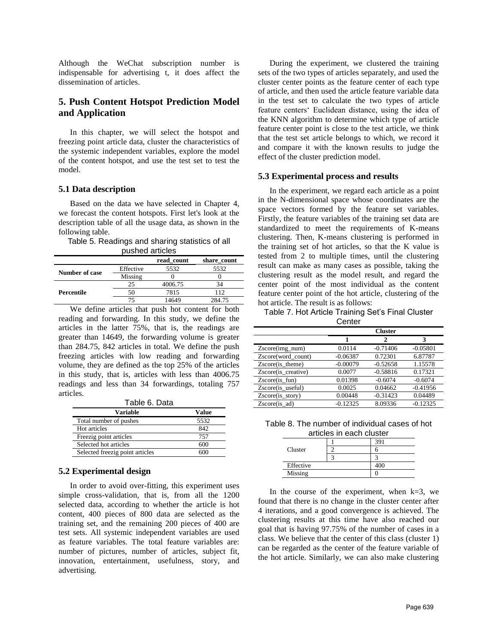Although the WeChat subscription number is indispensable for advertising t, it does affect the dissemination of articles.

## **5. Push Content Hotspot Prediction Model and Application**

In this chapter, we will select the hotspot and freezing point article data, cluster the characteristics of the systemic independent variables, explore the model of the content hotspot, and use the test set to test the model.

#### **5.1 Data description**

Based on the data we have selected in Chapter 4, we forecast the content hotspots. First let's look at the description table of all the usage data, as shown in the following table.

| Table 5. Readings and sharing statistics of all |  |  |
|-------------------------------------------------|--|--|
| pushed articles                                 |  |  |

|                       |           | read count | share count |
|-----------------------|-----------|------------|-------------|
| <b>Number of case</b> | Effective | 5532       | 5532        |
|                       | Missing   |            |             |
|                       | 25        | 4006.75    | 34          |
| Percentile            | 50        | 7815       | 112         |
|                       | 75        | 14649      | 284.75      |

We define articles that push hot content for both reading and forwarding. In this study, we define the articles in the latter 75%, that is, the readings are greater than 14649, the forwarding volume is greater than 284.75, 842 articles in total. We define the push freezing articles with low reading and forwarding volume, they are defined as the top 25% of the articles in this study, that is, articles with less than 4006.75 readings and less than 34 forwardings, totaling 757 articles.

|  | Table 6. Data |
|--|---------------|
|  |               |

| Variable                        | Value |
|---------------------------------|-------|
| Total number of pushes          | 5532  |
| Hot articles                    | 842   |
| Freezig point articles          | 757   |
| Selected hot articles           | 600   |
| Selected freezig point articles |       |

## **5.2 Experimental design**

In order to avoid over-fitting, this experiment uses simple cross-validation, that is, from all the 1200 selected data, according to whether the article is hot content, 400 pieces of 800 data are selected as the training set, and the remaining 200 pieces of 400 are test sets. All systemic independent variables are used as feature variables. The total feature variables are: number of pictures, number of articles, subject fit, innovation, entertainment, usefulness, story, and advertising.

During the experiment, we clustered the training sets of the two types of articles separately, and used the cluster center points as the feature center of each type of article, and then used the article feature variable data in the test set to calculate the two types of article feature centers' Euclidean distance, using the idea of the KNN algorithm to determine which type of article feature center point is close to the test article, we think that the test set article belongs to which, we record it and compare it with the known results to judge the effect of the cluster prediction model.

### **5.3 Experimental process and results**

In the experiment, we regard each article as a point in the N-dimensional space whose coordinates are the space vectors formed by the feature set variables. Firstly, the feature variables of the training set data are standardized to meet the requirements of K-means clustering. Then, K-means clustering is performed in the training set of hot articles, so that the K value is tested from 2 to multiple times, until the clustering result can make as many cases as possible, taking the clustering result as the model result, and regard the center point of the most individual as the content feature center point of the hot article, clustering of the hot article. The result is as follows:

Table 7. Hot Article Training Set's Final Cluster **Center** 

|                     | <b>Cluster</b> |            |            |
|---------------------|----------------|------------|------------|
|                     |                |            | 3          |
| $Zscore(img_num)$   | 0.0114         | $-0.71406$ | $-0.05801$ |
| Zscore(word_count)  | $-0.06387$     | 0.72301    | 6.87787    |
| Zscore(is theme)    | $-0.00079$     | $-0.52658$ | 1.15578    |
| Zscore(is creative) | 0.0077         | $-0.58816$ | 0.17321    |
| $Zscore(is_fun)$    | 0.01398        | $-0.6074$  | $-0.6074$  |
| Zscore(is useful)   | 0.0025         | 0.04662    | $-0.41956$ |
| $Zscore(is_story)$  | 0.00448        | $-0.31423$ | 0.04489    |
| Zscore(is ad)       | $-0.12325$     | 8.09336    | $-0.12325$ |

Table 8. The number of individual cases of hot articles in each cluster

|           |  | 391 |
|-----------|--|-----|
| Cluster   |  |     |
|           |  |     |
| Effective |  | 400 |
| Missing   |  |     |

In the course of the experiment, when  $k=3$ , we found that there is no change in the cluster center after 4 iterations, and a good convergence is achieved. The clustering results at this time have also reached our goal that is having 97.75% of the number of cases in a class. We believe that the center of this class (cluster 1) can be regarded as the center of the feature variable of the hot article. Similarly, we can also make clustering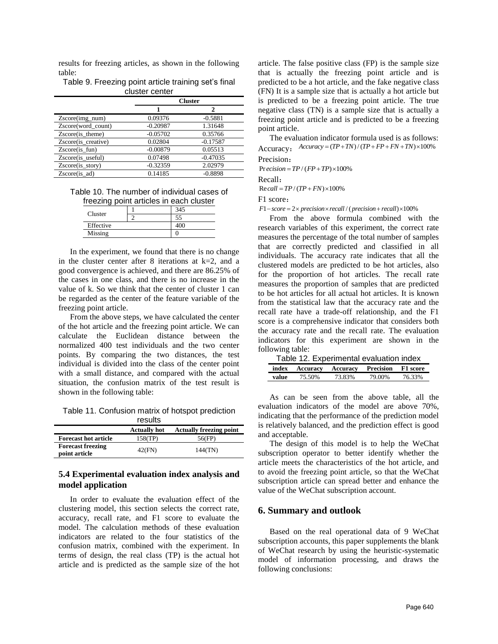results for freezing articles, as shown in the following table:

| Table 9. Freezing point article training set's final |
|------------------------------------------------------|
| cluster center                                       |
| <b>Cluster</b>                                       |

|                     | URSIEF     |            |  |
|---------------------|------------|------------|--|
|                     |            | 2          |  |
| $Zscore(img_num)$   | 0.09376    | $-0.5881$  |  |
| Zscore(word count)  | $-0.20987$ | 1.31648    |  |
| $Zscore(is_thene)$  | $-0.05702$ | 0.35766    |  |
| Zscore(is creative) | 0.02804    | $-0.17587$ |  |
| $Zscore(is$ fun)    | $-0.00879$ | 0.05513    |  |
| Zscore(is useful)   | 0.07498    | $-0.47035$ |  |
| Zscore(is story)    | $-0.32359$ | 2.02979    |  |
| Zscore(is ad)       | 0.14185    | $-0.8898$  |  |

Table 10. The number of individual cases of freezing point articles in each cluster

| Cluster   |  |
|-----------|--|
|           |  |
| Effective |  |
| Missing   |  |

In the experiment, we found that there is no change in the cluster center after 8 iterations at  $k=2$ , and a good convergence is achieved, and there are 86.25% of the cases in one class, and there is no increase in the value of k. So we think that the center of cluster 1 can be regarded as the center of the feature variable of the freezing point article.

From the above steps, we have calculated the center of the hot article and the freezing point article. We can calculate the Euclidean distance between the normalized 400 test individuals and the two center points. By comparing the two distances, the test individual is divided into the class of the center point with a small distance, and compared with the actual situation, the confusion matrix of the test result is shown in the following table:

Table 11. Confusion matrix of hotspot prediction

|                                           | results             |                                |
|-------------------------------------------|---------------------|--------------------------------|
|                                           | <b>Actually hot</b> | <b>Actually freezing point</b> |
| <b>Forecast hot article</b>               | 158(TP)             | 56(FP)                         |
| <b>Forecast freezing</b><br>point article | 42(FN)              | 144(TN)                        |

## **5.4 Experimental evaluation index analysis and model application**

In order to evaluate the evaluation effect of the clustering model, this section selects the correct rate, accuracy, recall rate, and F1 score to evaluate the model. The calculation methods of these evaluation indicators are related to the four statistics of the confusion matrix, combined with the experiment. In terms of design, the real class (TP) is the actual hot article and is predicted as the sample size of the hot

article. The false positive class (FP) is the sample size that is actually the freezing point article and is predicted to be a hot article, and the fake negative class (FN) It is a sample size that is actually a hot article but is predicted to be a freezing point article. The true negative class (TN) is a sample size that is actually a freezing point article and is predicted to be a freezing point article.

The evaluation indicator formula used is as follows: Accuracy:  $Accuracy = (TP + TN) / (TP + FP + FN + TN) \times 100\%$ Precision:

 $Precision = TP / (FP + TP) \times 100\%$ 

Recall:

 $\text{Re } \text{call} = TP / (TP + FN) \times 100\%$ 

F1 score:

 $F1-score = 2 \times precision \times recall / (precision + recall) \times 100\%$ 

From the above formula combined with the research variables of this experiment, the correct rate measures the percentage of the total number of samples that are correctly predicted and classified in all individuals. The accuracy rate indicates that all the clustered models are predicted to be hot articles, also for the proportion of hot articles. The recall rate measures the proportion of samples that are predicted to be hot articles for all actual hot articles. It is known from the statistical law that the accuracy rate and the recall rate have a trade-off relationship, and the F1 score is a comprehensive indicator that considers both the accuracy rate and the recall rate. The evaluation indicators for this experiment are shown in the following table:

| Table 12. Experimental evaluation index |                                            |        |        |        |
|-----------------------------------------|--------------------------------------------|--------|--------|--------|
|                                         | index Accuracy Accuracy Precision F1 score |        |        |        |
| value                                   | 75.50%                                     | 73.83% | 79.00% | 76.33% |

As can be seen from the above table, all the evaluation indicators of the model are above 70%, indicating that the performance of the prediction model is relatively balanced, and the prediction effect is good and acceptable.

The design of this model is to help the WeChat subscription operator to better identify whether the article meets the characteristics of the hot article, and to avoid the freezing point article, so that the WeChat subscription article can spread better and enhance the value of the WeChat subscription account.

## **6. Summary and outlook**

Based on the real operational data of 9 WeChat subscription accounts, this paper supplements the blank of WeChat research by using the heuristic-systematic model of information processing, and draws the following conclusions: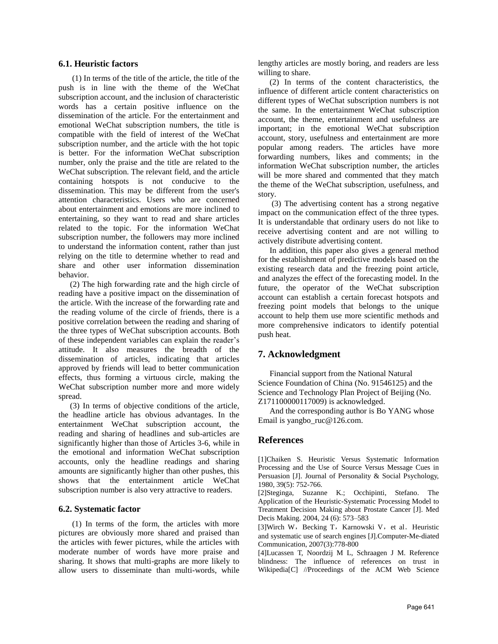#### **6.1. Heuristic factors**

(1) In terms of the title of the article, the title of the push is in line with the theme of the WeChat subscription account, and the inclusion of characteristic words has a certain positive influence on the dissemination of the article. For the entertainment and emotional WeChat subscription numbers, the title is compatible with the field of interest of the WeChat subscription number, and the article with the hot topic is better. For the information WeChat subscription number, only the praise and the title are related to the WeChat subscription. The relevant field, and the article containing hotspots is not conducive to the dissemination. This may be different from the user's attention characteristics. Users who are concerned about entertainment and emotions are more inclined to entertaining, so they want to read and share articles related to the topic. For the information WeChat subscription number, the followers may more inclined to understand the information content, rather than just relying on the title to determine whether to read and share and other user information dissemination behavior.

(2) The high forwarding rate and the high circle of reading have a positive impact on the dissemination of the article. With the increase of the forwarding rate and the reading volume of the circle of friends, there is a positive correlation between the reading and sharing of the three types of WeChat subscription accounts. Both of these independent variables can explain the reader's attitude. It also measures the breadth of the dissemination of articles, indicating that articles approved by friends will lead to better communication effects, thus forming a virtuous circle, making the WeChat subscription number more and more widely spread.

(3) In terms of objective conditions of the article, the headline article has obvious advantages. In the entertainment WeChat subscription account, the reading and sharing of headlines and sub-articles are significantly higher than those of Articles 3-6, while in the emotional and information WeChat subscription accounts, only the headline readings and sharing amounts are significantly higher than other pushes, this shows that the entertainment article WeChat subscription number is also very attractive to readers.

#### **6.2. Systematic factor**

(1) In terms of the form, the articles with more pictures are obviously more shared and praised than the articles with fewer pictures, while the articles with moderate number of words have more praise and sharing. It shows that multi-graphs are more likely to allow users to disseminate than multi-words, while lengthy articles are mostly boring, and readers are less willing to share.

(2) In terms of the content characteristics, the influence of different article content characteristics on different types of WeChat subscription numbers is not the same. In the entertainment WeChat subscription account, the theme, entertainment and usefulness are important; in the emotional WeChat subscription account, story, usefulness and entertainment are more popular among readers. The articles have more forwarding numbers, likes and comments; in the information WeChat subscription number, the articles will be more shared and commented that they match the theme of the WeChat subscription, usefulness, and story.

(3) The advertising content has a strong negative impact on the communication effect of the three types. It is understandable that ordinary users do not like to receive advertising content and are not willing to actively distribute advertising content.

In addition, this paper also gives a general method for the establishment of predictive models based on the existing research data and the freezing point article, and analyzes the effect of the forecasting model. In the future, the operator of the WeChat subscription account can establish a certain forecast hotspots and freezing point models that belongs to the unique account to help them use more scientific methods and more comprehensive indicators to identify potential push heat.

## **7. Acknowledgment**

Financial support from the National Natural Science Foundation of China (No. 91546125) and the Science and Technology Plan Project of Beijing (No. Z171100000117009) is acknowledged.

And the corresponding author is Bo YANG whose Email is yangbo\_ruc@126.com.

## **References**

[1]Chaiken S. Heuristic Versus Systematic Information Processing and the Use of Source Versus Message Cues in Persuasion [J]. Journal of Personality & Social Psychology, 1980, 39(5): 752-766.

[2]Steginga, Suzanne K.; Occhipinti, Stefano. The Application of the Heuristic-Systematic Processing Model to Treatment Decision Making about Prostate Cancer [J]. Med Decis Making. 2004, 24 (6): 573–583

[3]Wirch W, Becking T, Karnowski V, et al. Heuristic and systematic use of search engines [J].Computer-Me-diated Communication, 2007(3):778-800

[4]Lucassen T, Noordzij M L, Schraagen J M. Reference blindness: The influence of references on trust in Wikipedia[C] //Proceedings of the ACM Web Science